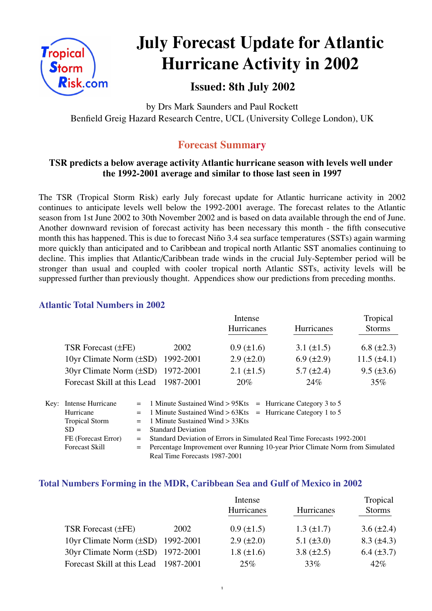

# **July Forecast Update for Atlantic Hurricane Activity in 2002**

## **Issued: 8th July 2002**

by Drs Mark Saunders and Paul Rockett Benfield Greig Hazard Research Centre, UCL (University College London), UK

### **Forecast Summary**

#### **TSR predicts a below average activity Atlantic hurricane season with levels well under the 1992-2001 average and similar to those last seen in 1997**

The TSR (Tropical Storm Risk) early July forecast update for Atlantic hurricane activity in 2002 continues to anticipate levels well below the 1992-2001 average. The forecast relates to the Atlantic season from 1st June 2002 to 30th November 2002 and is based on data available through the end of June. Another downward revision of forecast activity has been necessary this month - the fifth consecutive month this has happened. This is due to forecast Niño 3.4 sea surface temperatures (SSTs) again warming more quickly than anticipated and to Caribbean and tropical north Atlantic SST anomalies continuing to decline. This implies that Atlantic/Caribbean trade winds in the crucial July-September period will be stronger than usual and coupled with cooler tropical north Atlantic SSTs, activity levels will be suppressed further than previously thought. Appendices show our predictions from preceding months.

#### **Atlantic Total Numbers in 2002**

|                                          |           | Intense<br>Hurricanes | <b>Hurricanes</b> | Tropical<br><b>Storms</b> |
|------------------------------------------|-----------|-----------------------|-------------------|---------------------------|
| TSR Forecast $(\pm FE)$                  | 2002      | $0.9 \ (\pm 1.6)$     | 3.1 $(\pm 1.5)$   | 6.8 $(\pm 2.3)$           |
| 10yr Climate Norm $(\pm SD)$             | 1992-2001 | $2.9 \ (\pm 2.0)$     | $6.9 \ (\pm 2.9)$ | $11.5 (\pm 4.1)$          |
| $30yr$ Climate Norm $(\pm SD)$ 1972-2001 |           | $2.1 (\pm 1.5)$       | $5.7 \ (\pm 2.4)$ | $9.5 (\pm 3.6)$           |
| Forecast Skill at this Lead              | 1987-2001 | 20%                   | 24%               | 35%                       |

| Key: Intense Hurricane | $=$ 1 Minute Sustained Wind > 95Kts $=$ Hurricane Category 3 to 5               |  |  |
|------------------------|---------------------------------------------------------------------------------|--|--|
| Hurricane              | $=$ 1 Minute Sustained Wind > 63Kts $=$ Hurricane Category 1 to 5               |  |  |
| <b>Tropical Storm</b>  | $=$ 1 Minute Sustained Wind $>$ 33Kts                                           |  |  |
| SD.                    | $=$ Standard Deviation                                                          |  |  |
| FE (Forecast Error)    | = Standard Deviation of Errors in Simulated Real Time Forecasts 1992-2001       |  |  |
| <b>Forecast Skill</b>  | = Percentage Improvement over Running 10-year Prior Climate Norm from Simulated |  |  |
|                        | Real Time Forecasts 1987-2001                                                   |  |  |

#### **Total Numbers Forming in the MDR, Caribbean Sea and Gulf of Mexico in 2002**

|                                        |      | Intense           | Tropical          |                   |
|----------------------------------------|------|-------------------|-------------------|-------------------|
|                                        |      | <b>Hurricanes</b> | <b>Hurricanes</b> | <b>Storms</b>     |
| TSR Forecast $(\pm FE)$                | 2002 | $0.9 \ (\pm 1.5)$ | $1.3 \ (\pm 1.7)$ | $3.6 (\pm 2.4)$   |
| 10yr Climate Norm $(\pm SD)$ 1992-2001 |      | $2.9 \ (\pm 2.0)$ | 5.1 $(\pm 3.0)$   | $8.3 \ (\pm 4.3)$ |
| 30yr Climate Norm (±SD) 1972-2001      |      | $1.8 (\pm 1.6)$   | 3.8 $(\pm 2.5)$   | $6.4 (\pm 3.7)$   |
| Forecast Skill at this Lead 1987-2001  |      | 25%               | 33%               | $42\%$            |

1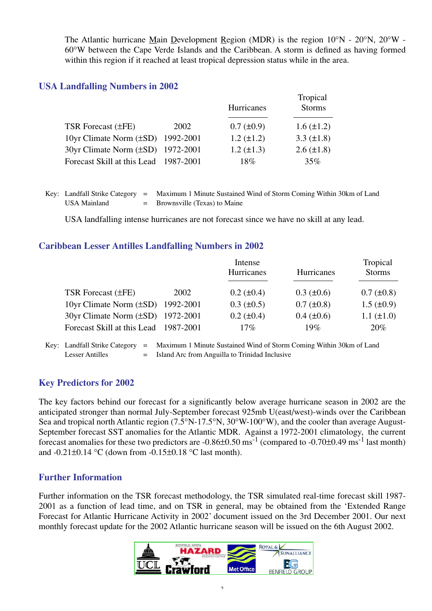The Atlantic hurricane Main Development Region (MDR) is the region 10°N - 20°N, 20°W - 60°W between the Cape Verde Islands and the Caribbean. A storm is defined as having formed within this region if it reached at least tropical depression status while in the area.

#### **USA Landfalling Numbers in 2002**

|                                        |      | Hurricanes      | Tropical<br><b>Storms</b> |  |
|----------------------------------------|------|-----------------|---------------------------|--|
| <b>TSR</b> Forecast ( $\pm$ FE)        | 2002 | $0.7 (\pm 0.9)$ | $1.6 (\pm 1.2)$           |  |
| 10yr Climate Norm $(\pm SD)$ 1992-2001 |      | $1.2 (\pm 1.2)$ | 3.3 $(\pm 1.8)$           |  |
| 30yr Climate Norm (±SD) 1972-2001      |      | $1.2 (\pm 1.3)$ | $2.6 \ (\pm 1.8)$         |  |
| Forecast Skill at this Lead 1987-2001  |      | 18%             | 35%                       |  |

|              | Key: Landfall Strike Category = Maximum 1 Minute Sustained Wind of Storm Coming Within 30km of Land |
|--------------|-----------------------------------------------------------------------------------------------------|
| USA Mainland | $=$ Brownsville (Texas) to Maine                                                                    |

USA landfalling intense hurricanes are not forecast since we have no skill at any lead.

#### **Caribbean Lesser Antilles Landfalling Numbers in 2002**

|                                        |      | Intense<br>Hurricanes | Hurricanes      | Tropical<br><b>Storms</b> |
|----------------------------------------|------|-----------------------|-----------------|---------------------------|
| TSR Forecast $(\pm FE)$                | 2002 | $0.2 \ (\pm 0.4)$     | $0.3 (\pm 0.6)$ | $0.7 (\pm 0.8)$           |
| 10yr Climate Norm $(\pm SD)$ 1992-2001 |      | $0.3 \ (\pm 0.5)$     | $0.7 (\pm 0.8)$ | $1.5 \ (\pm 0.9)$         |
| 30yr Climate Norm (±SD) 1972-2001      |      | $0.2 (\pm 0.4)$       | $0.4 (\pm 0.6)$ | $1.1 (\pm 1.0)$           |
| Forecast Skill at this Lead 1987-2001  |      | 17%                   | 19%             | 20%                       |

Key: Landfall Strike Category = Maximum 1 Minute Sustained Wind of Storm Coming Within 30km of Land Lesser Antilles  $=$  Island Arc from Anguilla to Trinidad Inclusive

#### **Key Predictors for 2002**

The key factors behind our forecast for a significantly below average hurricane season in 2002 are the anticipated stronger than normal July-September forecast 925mb U(east/west)-winds over the Caribbean Sea and tropical north Atlantic region (7.5°N-17.5°N, 30°W-100°W), and the cooler than average August-September forecast SST anomalies for the Atlantic MDR. Against a 1972-2001 climatology, the current forecast anomalies for these two predictors are  $-0.86\pm0.50$  ms<sup>-1</sup> (compared to  $-0.70\pm0.49$  ms<sup>-1</sup> last month) and  $-0.21\pm0.14$  °C (down from  $-0.15\pm0.18$  °C last month).

#### **Further Information**

Further information on the TSR forecast methodology, the TSR simulated real-time forecast skill 1987- 2001 as a function of lead time, and on TSR in general, may be obtained from the 'Extended Range Forecast for Atlantic Hurricane Activity in 2002' document issued on the 3rd December 2001. Our next monthly forecast update for the 2002 Atlantic hurricane season will be issued on the 6th August 2002.



 $\overline{2}$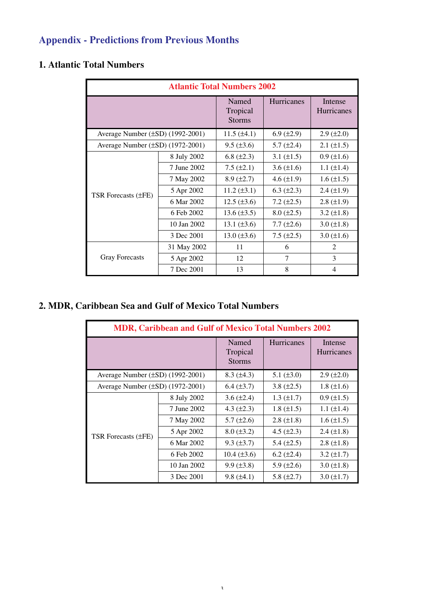# **Appendix - Predictions from Previous Months**

## **1. Atlantic Total Numbers**

| <b>Atlantic Total Numbers 2002</b>    |             |                                    |                   |                       |  |  |
|---------------------------------------|-------------|------------------------------------|-------------------|-----------------------|--|--|
|                                       |             | Named<br>Tropical<br><b>Storms</b> | Hurricanes        | Intense<br>Hurricanes |  |  |
| Average Number $(\pm SD)$ (1992-2001) |             | $11.5 (\pm 4.1)$                   | 6.9 $(\pm 2.9)$   | $2.9 \ (\pm 2.0)$     |  |  |
| Average Number $(\pm SD)$ (1972-2001) |             | $9.5 \ (\pm 3.6)$                  | 5.7 $(\pm 2.4)$   | $2.1 (\pm 1.5)$       |  |  |
|                                       | 8 July 2002 | 6.8 $(\pm 2.3)$                    | 3.1 $(\pm 1.5)$   | $0.9 (\pm 1.6)$       |  |  |
|                                       | 7 June 2002 | 7.5 $(\pm 2.1)$                    | 3.6 $(\pm 1.6)$   | $1.1 (\pm 1.4)$       |  |  |
|                                       | 7 May 2002  | $8.9 \ (\pm 2.7)$                  | 4.6 $(\pm 1.9)$   | $1.6 \, (\pm 1.5)$    |  |  |
| TSR Forecasts (±FE)                   | 5 Apr 2002  | $11.2 (\pm 3.1)$                   | 6.3 $(\pm 2.3)$   | $2.4 (\pm 1.9)$       |  |  |
|                                       | 6 Mar 2002  | $12.5 (\pm 3.6)$                   | 7.2 $(\pm 2.5)$   | $2.8 (\pm 1.9)$       |  |  |
|                                       | 6 Feb 2002  | $13.6 (\pm 3.5)$                   | $8.0 (\pm 2.5)$   | $3.2 (\pm 1.8)$       |  |  |
|                                       | 10 Jan 2002 | 13.1 $(\pm 3.6)$                   | $7.7 (\pm 2.6)$   | $3.0 (\pm 1.8)$       |  |  |
|                                       | 3 Dec 2001  | $13.0 (\pm 3.6)$                   | $7.5 \ (\pm 2.5)$ | $3.0 (\pm 1.6)$       |  |  |
| <b>Gray Forecasts</b>                 | 31 May 2002 | 11                                 | 6                 | 2                     |  |  |
|                                       | 5 Apr 2002  | 12                                 | 7                 | 3                     |  |  |
|                                       | 7 Dec 2001  | 13                                 | 8                 | 4                     |  |  |

### **2. MDR, Caribbean Sea and Gulf of Mexico Total Numbers**

| <b>MDR, Caribbean and Gulf of Mexico Total Numbers 2002</b> |             |                                    |                   |                              |  |
|-------------------------------------------------------------|-------------|------------------------------------|-------------------|------------------------------|--|
|                                                             |             | Named<br>Tropical<br><b>Storms</b> | <b>Hurricanes</b> | Intense<br><b>Hurricanes</b> |  |
| Average Number $(\pm SD)$ (1992-2001)                       |             | $8.3 \ (\pm 4.3)$                  | 5.1 $(\pm 3.0)$   | $2.9 \ (\pm 2.0)$            |  |
| Average Number (±SD) (1972-2001)                            |             | $6.4 \ (\pm 3.7)$                  | 3.8 $(\pm 2.5)$   | $1.8 (\pm 1.6)$              |  |
|                                                             | 8 July 2002 | $3.6 (\pm 2.4)$                    | $1.3 \ (\pm 1.7)$ | $0.9 \ (\pm 1.5)$            |  |
|                                                             | 7 June 2002 | 4.3 $(\pm 2.3)$                    | $1.8 (\pm 1.5)$   | $1.1 (\pm 1.4)$              |  |
|                                                             | 7 May 2002  | $5.7 (\pm 2.6)$                    | $2.8 (\pm 1.8)$   | $1.6 (\pm 1.5)$              |  |
| <b>TSR Forecasts (±FE)</b>                                  | 5 Apr 2002  | $8.0 (\pm 3.2)$                    | 4.5 $(\pm 2.3)$   | $2.4 (\pm 1.8)$              |  |
|                                                             | 6 Mar 2002  | $9.3 \ (\pm 3.7)$                  | 5.4 $(\pm 2.5)$   | $2.8 (\pm 1.8)$              |  |
|                                                             | 6 Feb 2002  | $10.4 (\pm 3.6)$                   | $6.2 (\pm 2.4)$   | $3.2 \ (\pm 1.7)$            |  |
|                                                             | 10 Jan 2002 | $9.9 \ (\pm 3.8)$                  | 5.9 $(\pm 2.6)$   | $3.0 (\pm 1.8)$              |  |
|                                                             | 3 Dec 2001  | $9.8 (\pm 4.1)$                    | 5.8 $(\pm 2.7)$   | $3.0 (\pm 1.7)$              |  |